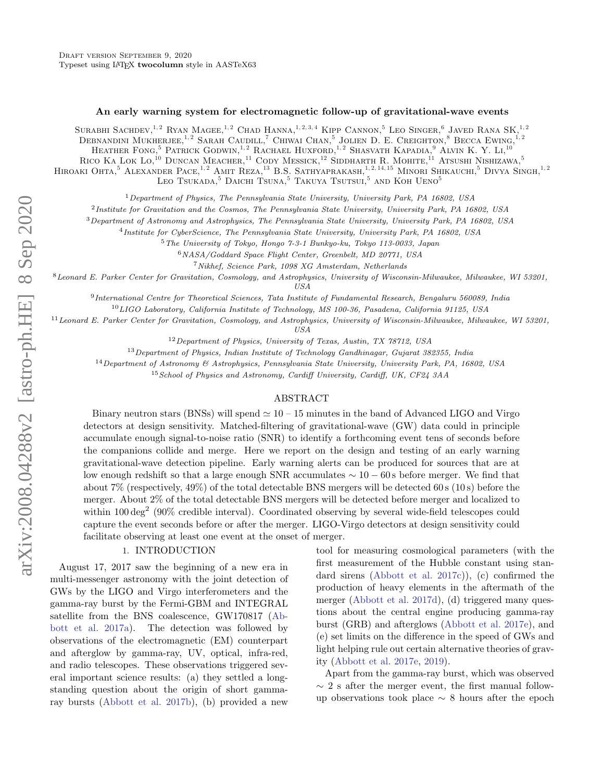#### An early warning system for electromagnetic follow-up of gravitational-wave events

Surabhi Sachdev,  $^{1,2}$  Ryan Magee,  $^{1,2}$  Chad Hanna,  $^{1,2,3,4}$  Kipp Cannon,  $^{5}$  Leo Singer,  $^{6}$  Javed Rana SK,  $^{1,2}$ DEBNANDINI MUKHERJEE,<sup>1, 2</sup> SARAH CAUDILL,<sup>7</sup> CHIWAI CHAN,<sup>5</sup> JOLIEN D. E. CREIGHTON,<sup>8</sup> BECCA EWING,<sup>1,2</sup> HEATHER FONG.<sup>5</sup> PATRICK GODWIN.<sup>1,2</sup> RACHAEL HUXFORD.<sup>1,2</sup> SHASVATH KAPADIA.<sup>9</sup> ALVIN K.Y. LI.<sup>10</sup> RICO KA LOK LO,<sup>10</sup> DUNCAN MEACHER,<sup>11</sup> CODY MESSICK,<sup>12</sup> SIDDHARTH R. MOHITE,<sup>11</sup> ATSUSHI NISHIZAWA,<sup>5</sup> HIROAKI OHTA.<sup>5</sup> ALEXANDER PACE,<sup>1, 2</sup> AMIT REZA,<sup>13</sup> B.S. SATHYAPRAKASH,<sup>1, 2, 14, <sup>15</sup> MINORI SHIKAUCHI,<sup>5</sup> DIVYA SINGH.<sup>1, 2</sup></sup> LEO TSUKADA, $5$  DAICHI TSUNA, $5$  TAKUYA TSUTSUI, $5$  AND KOH UENO $5$ 

<sup>1</sup>Department of Physics, The Pennsylvania State University, University Park, PA 16802, USA

<sup>2</sup>Institute for Gravitation and the Cosmos, The Pennsylvania State University, University Park, PA 16802, USA

<sup>3</sup>Department of Astronomy and Astrophysics, The Pennsylvania State University, University Park, PA 16802, USA

4 Institute for CyberScience, The Pennsylvania State University, University Park, PA 16802, USA

<sup>5</sup>The University of Tokyo, Hongo 7-3-1 Bunkyo-ku, Tokyo 113-0033, Japan

<sup>6</sup>NASA/Goddard Space Flight Center, Greenbelt, MD 20771, USA

<sup>7</sup>Nikhef, Science Park, 1098 XG Amsterdam, Netherlands

<sup>8</sup>Leonard E. Parker Center for Gravitation, Cosmology, and Astrophysics, University of Wisconsin-Milwaukee, Milwaukee, WI 53201, USA

9 International Centre for Theoretical Sciences, Tata Institute of Fundamental Research, Bengaluru 560089, India

<sup>10</sup>LIGO Laboratory, California Institute of Technology, MS 100-36, Pasadena, California 91125, USA

<sup>11</sup> Leonard E. Parker Center for Gravitation, Cosmology, and Astrophysics, University of Wisconsin-Milwaukee, Milwaukee, WI 53201,

USA

 $12$  Department of Physics, University of Texas, Austin, TX 78712, USA

<sup>13</sup> Department of Physics, Indian Institute of Technology Gandhinagar, Gujarat 382355, India

<sup>14</sup>Department of Astronomy & Astrophysics, Pennsylvania State University, University Park, PA, 16802, USA

 $15$  School of Physics and Astronomy, Cardiff University, Cardiff, UK, CF24 3AA

### ABSTRACT

Binary neutron stars (BNSs) will spend  $\simeq 10 - 15$  minutes in the band of Advanced LIGO and Virgo detectors at design sensitivity. Matched-filtering of gravitational-wave (GW) data could in principle accumulate enough signal-to-noise ratio (SNR) to identify a forthcoming event tens of seconds before the companions collide and merge. Here we report on the design and testing of an early warning gravitational-wave detection pipeline. Early warning alerts can be produced for sources that are at low enough redshift so that a large enough SNR accumulates ∼ 10 − 60 s before merger. We find that about 7% (respectively,  $49\%$ ) of the total detectable BNS mergers will be detected 60 s (10 s) before the merger. About 2% of the total detectable BNS mergers will be detected before merger and localized to within  $100 \text{ deg}^2$  (90% credible interval). Coordinated observing by several wide-field telescopes could capture the event seconds before or after the merger. LIGO-Virgo detectors at design sensitivity could facilitate observing at least one event at the onset of merger.

#### 1. INTRODUCTION

August 17, 2017 saw the beginning of a new era in multi-messenger astronomy with the joint detection of GWs by the LIGO and Virgo interferometers and the gamma-ray burst by the Fermi-GBM and INTEGRAL satellite from the BNS coalescence, GW170817 [\(Ab](#page-5-0)[bott et al.](#page-5-0) [2017a\)](#page-5-0). The detection was followed by observations of the electromagnetic (EM) counterpart and afterglow by gamma-ray, UV, optical, infra-red, and radio telescopes. These observations triggered several important science results: (a) they settled a longstanding question about the origin of short gammaray bursts [\(Abbott et al.](#page-5-1) [2017b\)](#page-5-1), (b) provided a new

tool for measuring cosmological parameters (with the first measurement of the Hubble constant using standard sirens [\(Abbott et al.](#page-5-2) [2017c\)](#page-5-2)), (c) confirmed the production of heavy elements in the aftermath of the merger [\(Abbott et al.](#page-5-3) [2017d\)](#page-5-3), (d) triggered many questions about the central engine producing gamma-ray burst (GRB) and afterglows [\(Abbott et al.](#page-5-4) [2017e\)](#page-5-4), and (e) set limits on the difference in the speed of GWs and light helping rule out certain alternative theories of gravity [\(Abbott et al.](#page-5-4) [2017e,](#page-5-4) [2019\)](#page-5-5).

Apart from the gamma-ray burst, which was observed  $\sim$  2 s after the merger event, the first manual followup observations took place ∼ 8 hours after the epoch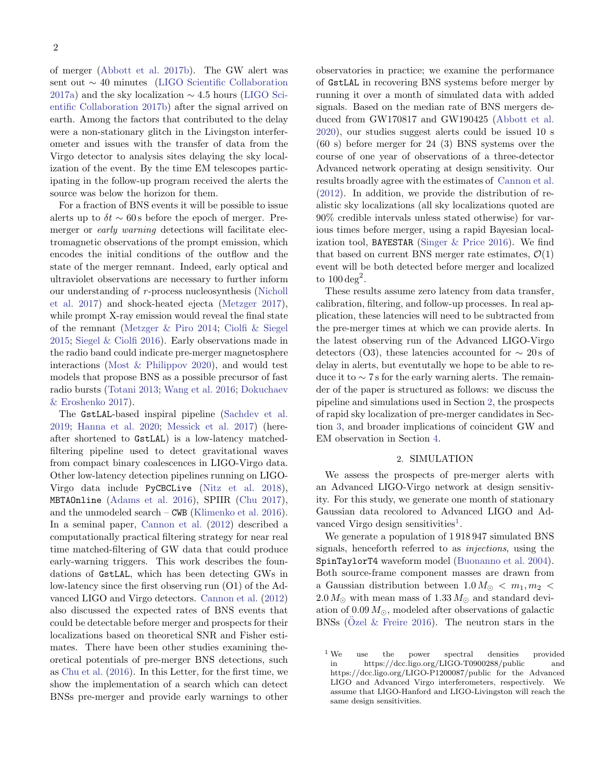of merger [\(Abbott et al.](#page-5-1) [2017b\)](#page-5-1). The GW alert was sent out ∼ 40 minutes [\(LIGO Scientific Collaboration](#page-6-0) [2017a\)](#page-6-0) and the sky localization  $\sim$  4.5 hours [\(LIGO Sci](#page-6-1)[entific Collaboration](#page-6-1) [2017b\)](#page-6-1) after the signal arrived on earth. Among the factors that contributed to the delay were a non-stationary glitch in the Livingston interferometer and issues with the transfer of data from the Virgo detector to analysis sites delaying the sky localization of the event. By the time EM telescopes participating in the follow-up program received the alerts the source was below the horizon for them.

For a fraction of BNS events it will be possible to issue alerts up to  $\delta t \sim 60$  s before the epoch of merger. Premerger or *early warning* detections will facilitate electromagnetic observations of the prompt emission, which encodes the initial conditions of the outflow and the state of the merger remnant. Indeed, early optical and ultraviolet observations are necessary to further inform our understanding of r -process nucleosynthesis [\(Nicholl](#page-6-2) [et al.](#page-6-2) [2017\)](#page-6-2) and shock-heated ejecta [\(Metzger](#page-6-3) [2017\)](#page-6-3), while prompt X-ray emission would reveal the final state of the remnant [\(Metzger & Piro](#page-6-4) [2014;](#page-6-4) [Ciolfi & Siegel](#page-5-6) [2015;](#page-5-6) [Siegel & Ciolfi](#page-6-5) [2016\)](#page-6-5). Early observations made in the radio band could indicate pre-merger magnetosphere interactions [\(Most & Philippov](#page-6-6) [2020\)](#page-6-6), and would test models that propose BNS as a possible precursor of fast radio bursts [\(Totani](#page-6-7) [2013;](#page-6-7) [Wang et al.](#page-6-8) [2016;](#page-6-8) [Dokuchaev](#page-6-9) [& Eroshenko](#page-6-9) [2017\)](#page-6-9).

The GstLAL-based inspiral pipeline [\(Sachdev et al.](#page-6-10) [2019;](#page-6-10) [Hanna et al.](#page-6-11) [2020;](#page-6-11) [Messick et al.](#page-6-12) [2017\)](#page-6-12) (hereafter shortened to GstLAL) is a low-latency matchedfiltering pipeline used to detect gravitational waves from compact binary coalescences in LIGO-Virgo data. Other low-latency detection pipelines running on LIGO-Virgo data include PyCBCLive [\(Nitz et al.](#page-6-13) [2018\)](#page-6-13), MBTAOnline [\(Adams et al.](#page-5-7) [2016\)](#page-5-7), SPIIR [\(Chu](#page-5-8) [2017\)](#page-5-8), and the unmodeled search – CWB [\(Klimenko et al.](#page-6-14) [2016\)](#page-6-14). In a seminal paper, [Cannon et al.](#page-5-9) [\(2012\)](#page-5-9) described a computationally practical filtering strategy for near real time matched-filtering of GW data that could produce early-warning triggers. This work describes the foundations of GstLAL, which has been detecting GWs in low-latency since the first observing run (O1) of the Advanced LIGO and Virgo detectors. [Cannon et al.](#page-5-9) [\(2012\)](#page-5-9) also discussed the expected rates of BNS events that could be detectable before merger and prospects for their localizations based on theoretical SNR and Fisher estimates. There have been other studies examining theoretical potentials of pre-merger BNS detections, such as [Chu et al.](#page-5-10) [\(2016\)](#page-5-10). In this Letter, for the first time, we show the implementation of a search which can detect BNSs pre-merger and provide early warnings to other

observatories in practice; we examine the performance of GstLAL in recovering BNS systems before merger by running it over a month of simulated data with added signals. Based on the median rate of BNS mergers deduced from GW170817 and GW190425 [\(Abbott et al.](#page-5-11) [2020\)](#page-5-11), our studies suggest alerts could be issued 10 s (60 s) before merger for 24 (3) BNS systems over the course of one year of observations of a three-detector Advanced network operating at design sensitivity. Our results broadly agree with the estimates of [Cannon et al.](#page-5-9) [\(2012\)](#page-5-9). In addition, we provide the distribution of realistic sky localizations (all sky localizations quoted are 90% credible intervals unless stated otherwise) for various times before merger, using a rapid Bayesian localization tool, BAYESTAR [\(Singer & Price](#page-6-15) [2016\)](#page-6-15). We find that based on current BNS merger rate estimates,  $\mathcal{O}(1)$ event will be both detected before merger and localized to  $100 \text{ deg}^2$ .

These results assume zero latency from data transfer, calibration, filtering, and follow-up processes. In real application, these latencies will need to be subtracted from the pre-merger times at which we can provide alerts. In the latest observing run of the Advanced LIGO-Virgo detectors (O3), these latencies accounted for  $\sim 20 s$  of delay in alerts, but eventutally we hope to be able to reduce it to  $\sim$  7 s for the early warning alerts. The remainder of the paper is structured as follows: we discuss the pipeline and simulations used in Section [2,](#page-1-0) the prospects of rapid sky localization of pre-merger candidates in Section [3,](#page-3-0) and broader implications of coincident GW and EM observation in Section [4.](#page-3-1)

# 2. SIMULATION

<span id="page-1-0"></span>We assess the prospects of pre-merger alerts with an Advanced LIGO-Virgo network at design sensitivity. For this study, we generate one month of stationary Gaussian data recolored to Advanced LIGO and Ad-vanced Virgo design sensitivities<sup>[1](#page-1-1)</sup>.

We generate a population of 1 918 947 simulated BNS signals, henceforth referred to as injections, using the SpinTaylorT4 waveform model [\(Buonanno et al.](#page-5-12) [2004\)](#page-5-12). Both source-frame component masses are drawn from a Gaussian distribution between  $1.0 M_{\odot} < m_1, m_2 <$  $2.0 M_{\odot}$  with mean mass of  $1.33 M_{\odot}$  and standard deviation of  $0.09 M_{\odot}$ , modeled after observations of galactic BNSs (Ozel  $&$  Freire [2016\)](#page-6-16). The neutron stars in the

<span id="page-1-1"></span><sup>&</sup>lt;sup>1</sup> We use the power spectral densities provided in https://dcc.ligo.org/LIGO-T0900288/public and https://dcc.ligo.org/LIGO-P1200087/public for the Advanced LIGO and Advanced Virgo interferometers, respectively. We assume that LIGO-Hanford and LIGO-Livingston will reach the same design sensitivities.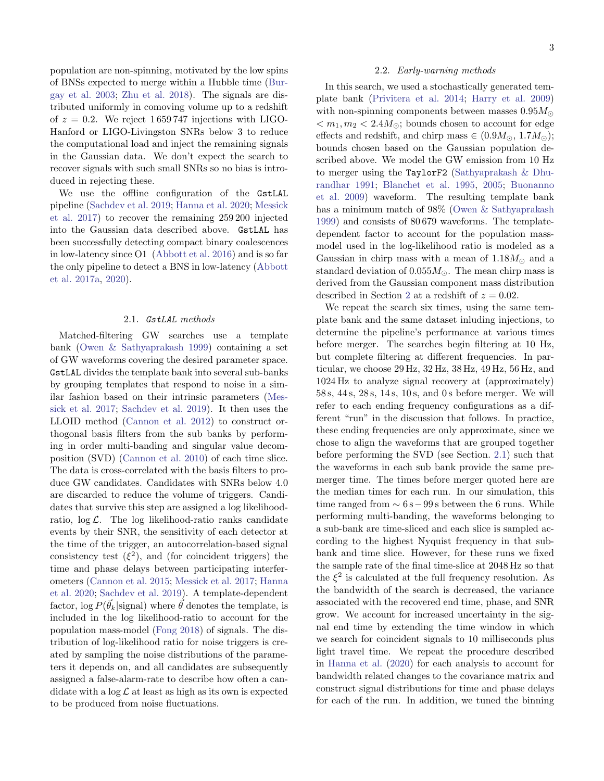population are non-spinning, motivated by the low spins of BNSs expected to merge within a Hubble time [\(Bur](#page-5-13)[gay et al.](#page-5-13) [2003;](#page-5-13) [Zhu et al.](#page-6-17) [2018\)](#page-6-17). The signals are distributed uniformly in comoving volume up to a redshift of  $z = 0.2$ . We reject 1659747 injections with LIGO-Hanford or LIGO-Livingston SNRs below 3 to reduce the computational load and inject the remaining signals in the Gaussian data. We don't expect the search to recover signals with such small SNRs so no bias is introduced in rejecting these.

We use the offline configuration of the GstLAL pipeline [\(Sachdev et al.](#page-6-10) [2019;](#page-6-10) [Hanna et al.](#page-6-11) [2020;](#page-6-11) [Messick](#page-6-12) [et al.](#page-6-12) [2017\)](#page-6-12) to recover the remaining 259 200 injected into the Gaussian data described above. GstLAL has been successfully detecting compact binary coalescences in low-latency since O1 [\(Abbott et al.](#page-5-14) [2016\)](#page-5-14) and is so far the only pipeline to detect a BNS in low-latency [\(Abbott](#page-5-0) [et al.](#page-5-0) [2017a,](#page-5-0) [2020\)](#page-5-11).

#### 2.1. GstLAL methods

<span id="page-2-0"></span>Matched-filtering GW searches use a template bank [\(Owen & Sathyaprakash](#page-6-18) [1999\)](#page-6-18) containing a set of GW waveforms covering the desired parameter space. GstLAL divides the template bank into several sub-banks by grouping templates that respond to noise in a similar fashion based on their intrinsic parameters [\(Mes](#page-6-12)[sick et al.](#page-6-12) [2017;](#page-6-12) [Sachdev et al.](#page-6-10) [2019\)](#page-6-10). It then uses the LLOID method [\(Cannon et al.](#page-5-9) [2012\)](#page-5-9) to construct orthogonal basis filters from the sub banks by performing in order multi-banding and singular value decomposition (SVD) [\(Cannon et al.](#page-5-15) [2010\)](#page-5-15) of each time slice. The data is cross-correlated with the basis filters to produce GW candidates. Candidates with SNRs below 4.0 are discarded to reduce the volume of triggers. Candidates that survive this step are assigned a log likelihoodratio,  $\log \mathcal{L}$ . The log likelihood-ratio ranks candidate events by their SNR, the sensitivity of each detector at the time of the trigger, an autocorrelation-based signal consistency test  $(\xi^2)$ , and (for coincident triggers) the time and phase delays between participating interferometers [\(Cannon et al.](#page-5-16) [2015;](#page-5-16) [Messick et al.](#page-6-12) [2017;](#page-6-12) [Hanna](#page-6-11) [et al.](#page-6-11) [2020;](#page-6-11) [Sachdev et al.](#page-6-10) [2019\)](#page-6-10). A template-dependent factor,  $\log P(\vec{\theta}_k | \text{signal})$  where  $\vec{\theta}$  denotes the template, is included in the log likelihood-ratio to account for the population mass-model [\(Fong](#page-6-19) [2018\)](#page-6-19) of signals. The distribution of log-likelihood ratio for noise triggers is created by sampling the noise distributions of the parameters it depends on, and all candidates are subsequently assigned a false-alarm-rate to describe how often a candidate with a  $\log \mathcal{L}$  at least as high as its own is expected to be produced from noise fluctuations.

#### 2.2. Early-warning methods

In this search, we used a stochastically generated template bank [\(Privitera et al.](#page-6-20) [2014;](#page-6-20) [Harry et al.](#page-6-21) [2009\)](#page-6-21) with non-spinning components between masses  $0.95M_{\odot}$  $m_1, m_2 < 2.4 M_{\odot}$ ; bounds chosen to account for edge effects and redshift, and chirp mass  $\in (0.9M_{\odot}, 1.7M_{\odot})$ ; bounds chosen based on the Gaussian population described above. We model the GW emission from 10 Hz to merger using the TaylorF2 [\(Sathyaprakash & Dhu](#page-6-22)[randhar](#page-6-22) [1991;](#page-6-22) [Blanchet et al.](#page-5-17) [1995,](#page-5-17) [2005;](#page-5-18) [Buonanno](#page-5-19) [et al.](#page-5-19) [2009\)](#page-5-19) waveform. The resulting template bank has a minimum match of 98% [\(Owen & Sathyaprakash](#page-6-18) [1999\)](#page-6-18) and consists of 80 679 waveforms. The templatedependent factor to account for the population massmodel used in the log-likelihood ratio is modeled as a Gaussian in chirp mass with a mean of  $1.18M_{\odot}$  and a standard deviation of  $0.055M_{\odot}$ . The mean chirp mass is derived from the Gaussian component mass distribution described in Section [2](#page-1-0) at a redshift of  $z = 0.02$ .

We repeat the search six times, using the same template bank and the same dataset inluding injections, to determine the pipeline's performance at various times before merger. The searches begin filtering at 10 Hz, but complete filtering at different frequencies. In particular, we choose 29 Hz, 32 Hz, 38 Hz, 49 Hz, 56 Hz, and 1024 Hz to analyze signal recovery at (approximately) 58 s, 44 s, 28 s, 14 s, 10 s, and 0 s before merger. We will refer to each ending frequency configurations as a different "run" in the discussion that follows. In practice, these ending frequencies are only approximate, since we chose to align the waveforms that are grouped together before performing the SVD (see Section. [2.1\)](#page-2-0) such that the waveforms in each sub bank provide the same premerger time. The times before merger quoted here are the median times for each run. In our simulation, this time ranged from  $\sim 6 \text{ s} - 99 \text{ s}$  between the 6 runs. While performing multi-banding, the waveforms belonging to a sub-bank are time-sliced and each slice is sampled according to the highest Nyquist frequency in that subbank and time slice. However, for these runs we fixed the sample rate of the final time-slice at 2048 Hz so that the  $\xi^2$  is calculated at the full frequency resolution. As the bandwidth of the search is decreased, the variance associated with the recovered end time, phase, and SNR grow. We account for increased uncertainty in the signal end time by extending the time window in which we search for coincident signals to 10 milliseconds plus light travel time. We repeat the procedure described in [Hanna et al.](#page-6-11) [\(2020\)](#page-6-11) for each analysis to account for bandwidth related changes to the covariance matrix and construct signal distributions for time and phase delays for each of the run. In addition, we tuned the binning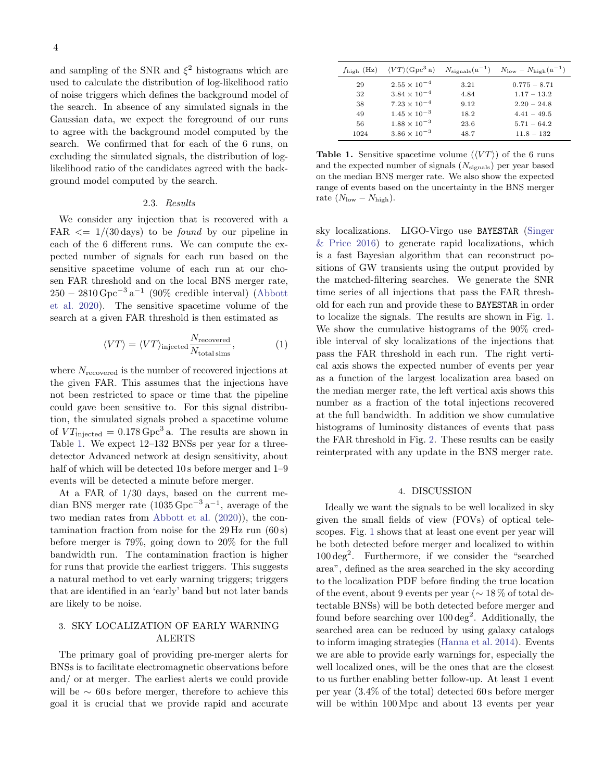and sampling of the SNR and  $\xi^2$  histograms which are used to calculate the distribution of log-likelihood ratio of noise triggers which defines the background model of the search. In absence of any simulated signals in the Gaussian data, we expect the foreground of our runs to agree with the background model computed by the search. We confirmed that for each of the 6 runs, on excluding the simulated signals, the distribution of loglikelihood ratio of the candidates agreed with the background model computed by the search.

#### 2.3. Results

We consider any injection that is recovered with a FAR  $\leq 1/(30 \text{ days})$  to be *found* by our pipeline in each of the 6 different runs. We can compute the expected number of signals for each run based on the sensitive spacetime volume of each run at our chosen FAR threshold and on the local BNS merger rate,  $250 - 2810 \,\text{Gpc}^{-3} \,\text{a}^{-1}$  (90% credible interval) [\(Abbott](#page-5-11) [et al.](#page-5-11) [2020\)](#page-5-11). The sensitive spacetime volume of the search at a given FAR threshold is then estimated as

$$
\langle VT \rangle = \langle VT \rangle_{\text{injected}} \frac{N_{\text{recovered}}}{N_{\text{total sums}}},\tag{1}
$$

where  $N_{recovered}$  is the number of recovered injections at the given FAR. This assumes that the injections have not been restricted to space or time that the pipeline could gave been sensitive to. For this signal distribution, the simulated signals probed a spacetime volume of  $VT_{\text{injected}} = 0.178 \,\text{Gpc}^3$  a. The results are shown in Table [1.](#page-3-2) We expect 12–132 BNSs per year for a threedetector Advanced network at design sensitivity, about half of which will be detected 10s before merger and 1–9 events will be detected a minute before merger.

At a FAR of 1/30 days, based on the current median BNS merger rate  $(1035 \text{ Gpc}^{-3} \text{a}^{-1})$ , average of the two median rates from [Abbott et al.](#page-5-11) [\(2020\)](#page-5-11)), the contamination fraction from noise for the  $29 \text{ Hz run } (60 \text{ s})$ before merger is 79%, going down to 20% for the full bandwidth run. The contamination fraction is higher for runs that provide the earliest triggers. This suggests a natural method to vet early warning triggers; triggers that are identified in an 'early' band but not later bands are likely to be noise.

# <span id="page-3-0"></span>3. SKY LOCALIZATION OF EARLY WARNING ALERTS

The primary goal of providing pre-merger alerts for BNSs is to facilitate electromagnetic observations before and/ or at merger. The earliest alerts we could provide will be  $\sim 60 s$  before merger, therefore to achieve this goal it is crucial that we provide rapid and accurate

| $f_{\text{high}}$ (Hz) | $\langle VT \rangle$ (Gpc <sup>3</sup> a) |      | $N_{\text{sienals}}(a^{-1})$ $N_{\text{low}} - N_{\text{high}}(a^{-1})$ |
|------------------------|-------------------------------------------|------|-------------------------------------------------------------------------|
| 29                     | $2.55 \times 10^{-4}$                     | 3.21 | $0.775 - 8.71$                                                          |
| 32                     | $3.84 \times 10^{-4}$                     | 4.84 | $1.17 - 13.2$                                                           |
| 38                     | $7.23 \times 10^{-4}$                     | 9.12 | $2.20 - 24.8$                                                           |
| 49                     | $1.45 \times 10^{-3}$                     | 18.2 | $4.41 - 49.5$                                                           |
| 56                     | $1.88 \times 10^{-3}$                     | 23.6 | $5.71 - 64.2$                                                           |
| 1024                   | $3.86 \times 10^{-3}$                     | 48.7 | $11.8 - 132$                                                            |

<span id="page-3-2"></span>**Table 1.** Sensitive spacetime volume  $(\langle VT \rangle)$  of the 6 runs and the expected number of signals  $(N_{\text{signals}})$  per year based on the median BNS merger rate. We also show the expected range of events based on the uncertainty in the BNS merger rate  $(N_{\text{low}} - N_{\text{high}})$ .

sky localizations. LIGO-Virgo use BAYESTAR [\(Singer](#page-6-15) [& Price](#page-6-15) [2016\)](#page-6-15) to generate rapid localizations, which is a fast Bayesian algorithm that can reconstruct positions of GW transients using the output provided by the matched-filtering searches. We generate the SNR time series of all injections that pass the FAR threshold for each run and provide these to BAYESTAR in order to localize the signals. The results are shown in Fig. [1.](#page-4-0) We show the cumulative histograms of the 90% credible interval of sky localizations of the injections that pass the FAR threshold in each run. The right vertical axis shows the expected number of events per year as a function of the largest localization area based on the median merger rate, the left vertical axis shows this number as a fraction of the total injections recovered at the full bandwidth. In addition we show cumulative histograms of luminosity distances of events that pass the FAR threshold in Fig. [2.](#page-4-1) These results can be easily reinterprated with any update in the BNS merger rate.

#### 4. DISCUSSION

<span id="page-3-1"></span>Ideally we want the signals to be well localized in sky given the small fields of view (FOVs) of optical telescopes. Fig. [1](#page-4-0) shows that at least one event per year will be both detected before merger and localized to within 100 deg<sup>2</sup> . Furthermore, if we consider the "searched area", defined as the area searched in the sky according to the localization PDF before finding the true location of the event, about 9 events per year (∼ 18 % of total detectable BNSs) will be both detected before merger and found before searching over  $100 \deg^2$ . Additionally, the searched area can be reduced by using galaxy catalogs to inform imaging strategies [\(Hanna et al.](#page-6-23) [2014\)](#page-6-23). Events we are able to provide early warnings for, especially the well localized ones, will be the ones that are the closest to us further enabling better follow-up. At least 1 event per year (3.4% of the total) detected 60 s before merger will be within 100 Mpc and about 13 events per year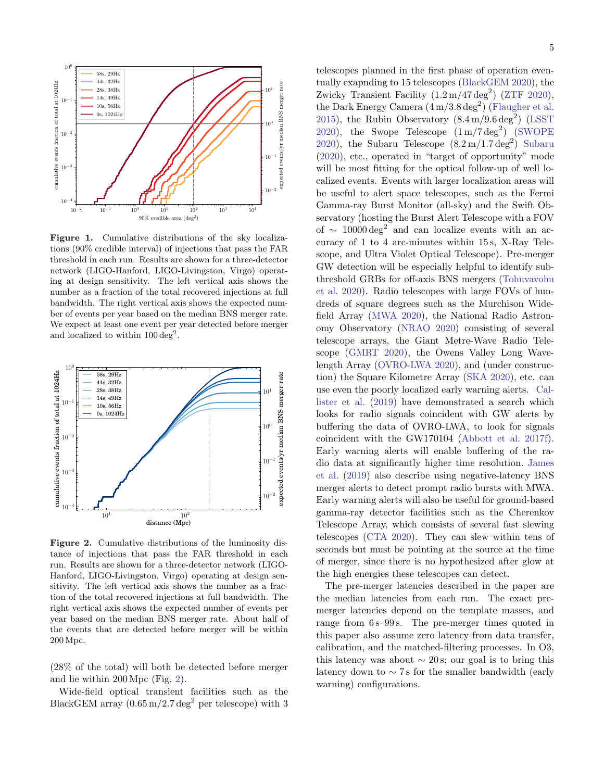

<span id="page-4-0"></span>Figure 1. Cumulative distributions of the sky localizations (90% credible interval) of injections that pass the FAR threshold in each run. Results are shown for a three-detector network (LIGO-Hanford, LIGO-Livingston, Virgo) operating at design sensitivity. The left vertical axis shows the number as a fraction of the total recovered injections at full bandwidth. The right vertical axis shows the expected number of events per year based on the median BNS merger rate. We expect at least one event per year detected before merger and localized to within  $100 \text{ deg}^2$ .



<span id="page-4-1"></span>Figure 2. Cumulative distributions of the luminosity distance of injections that pass the FAR threshold in each run. Results are shown for a three-detector network (LIGO-Hanford, LIGO-Livingston, Virgo) operating at design sensitivity. The left vertical axis shows the number as a fraction of the total recovered injections at full bandwidth. The right vertical axis shows the expected number of events per year based on the median BNS merger rate. About half of the events that are detected before merger will be within 200 Mpc.

(28% of the total) will both be detected before merger and lie within 200 Mpc (Fig. [2\)](#page-4-1).

Wide-field optical transient facilities such as the BlackGEM array  $(0.65 \,\mathrm{m}/2.7 \,\mathrm{deg}^2)$  per telescope) with 3 telescopes planned in the first phase of operation eventually exapnding to 15 telescopes [\(BlackGEM](#page-5-20) [2020\)](#page-5-20), the Zwicky Transient Facility  $(1.2 \,\mathrm{m}/47 \,\mathrm{deg}^2)$  [\(ZTF](#page-6-24) [2020\)](#page-6-24), the Dark Energy Camera  $(4\,\text{m}/3.8\,\text{deg}^2)$  [\(Flaugher et al.](#page-6-25) [2015\)](#page-6-25), the Rubin Observatory  $(8.4 \,\mathrm{m}/9.6 \,\mathrm{deg}^2)$  [\(LSST](#page-6-26) [2020\)](#page-6-26), the Swope Telescope  $(1 \text{ m}/7 \text{ deg}^2)$  [\(SWOPE](#page-6-27)) [2020\)](#page-6-27), the [Subaru](#page-6-28) Telescope  $(8.2 \,\mathrm{m}/1.7 \,\mathrm{deg}^2)$  Subaru [\(2020\)](#page-6-28), etc., operated in "target of opportunity" mode will be most fitting for the optical follow-up of well localized events. Events with larger localization areas will be useful to alert space telescopes, such as the Fermi Gamma-ray Burst Monitor (all-sky) and the Swift Observatory (hosting the Burst Alert Telescope with a FOV of  $\sim 10000 \text{ deg}^2$  and can localize events with an accuracy of 1 to 4 arc-minutes within 15 s, X-Ray Telescope, and Ultra Violet Optical Telescope). Pre-merger GW detection will be especially helpful to identify subthreshold GRBs for off-axis BNS mergers [\(Tohuvavohu](#page-6-29) [et al.](#page-6-29) [2020\)](#page-6-29). Radio telescopes with large FOVs of hundreds of square degrees such as the Murchison Widefield Array [\(MWA](#page-6-30) [2020\)](#page-6-30), the National Radio Astronomy Observatory [\(NRAO](#page-6-31) [2020\)](#page-6-31) consisting of several telescope arrays, the Giant Metre-Wave Radio Telescope [\(GMRT](#page-6-32) [2020\)](#page-6-32), the Owens Valley Long Wavelength Array [\(OVRO-LWA](#page-6-33) [2020\)](#page-6-33), and (under construction) the Square Kilometre Array [\(SKA](#page-6-34) [2020\)](#page-6-34), etc. can use even the poorly localized early warning alerts. [Cal](#page-5-21)[lister et al.](#page-5-21) [\(2019\)](#page-5-21) have demonstrated a search which looks for radio signals coincident with GW alerts by buffering the data of OVRO-LWA, to look for signals coincident with the GW170104 [\(Abbott et al.](#page-5-22) [2017f\)](#page-5-22). Early warning alerts will enable buffering of the radio data at significantly higher time resolution. [James](#page-6-35) [et al.](#page-6-35) [\(2019\)](#page-6-35) also describe using negative-latency BNS merger alerts to detect prompt radio bursts with MWA. Early warning alerts will also be useful for ground-based gamma-ray detector facilities such as the Cherenkov Telescope Array, which consists of several fast slewing

telescopes [\(CTA](#page-6-36) [2020\)](#page-6-36). They can slew within tens of seconds but must be pointing at the source at the time of merger, since there is no hypothesized after glow at the high energies these telescopes can detect. The pre-merger latencies described in the paper are

the median latencies from each run. The exact premerger latencies depend on the template masses, and range from 6 s–99 s. The pre-merger times quoted in this paper also assume zero latency from data transfer, calibration, and the matched-filtering processes. In O3, this latency was about  $\sim 20$  s; our goal is to bring this latency down to  $\sim$  7 s for the smaller bandwidth (early warning) configurations.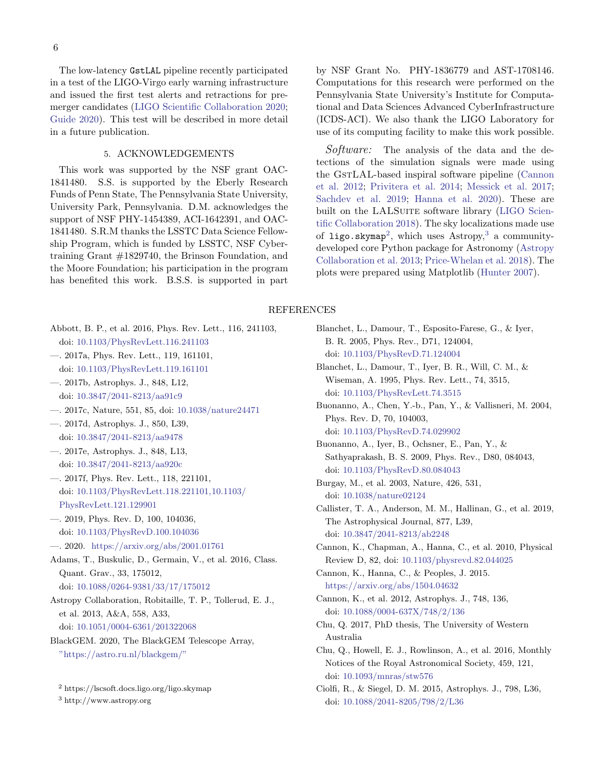The low-latency GstLAL pipeline recently participated in a test of the LIGO-Virgo early warning infrastructure and issued the first test alerts and retractions for premerger candidates [\(LIGO Scientific Collaboration](#page-6-37) [2020;](#page-6-37) [Guide](#page-6-38) [2020\)](#page-6-38). This test will be described in more detail in a future publication.

# 5. ACKNOWLEDGEMENTS

This work was supported by the NSF grant OAC-1841480. S.S. is supported by the Eberly Research Funds of Penn State, The Pennsylvania State University, University Park, Pennsylvania. D.M. acknowledges the support of NSF PHY-1454389, ACI-1642391, and OAC-1841480. S.R.M thanks the LSSTC Data Science Fellowship Program, which is funded by LSSTC, NSF Cybertraining Grant #1829740, the Brinson Foundation, and the Moore Foundation; his participation in the program has benefited this work. B.S.S. is supported in part by NSF Grant No. PHY-1836779 and AST-1708146. Computations for this research were performed on the Pennsylvania State University's Institute for Computational and Data Sciences Advanced CyberInfrastructure (ICDS-ACI). We also thank the LIGO Laboratory for use of its computing facility to make this work possible.

Software: The analysis of the data and the detections of the simulation signals were made using the GSTLAL-based inspiral software pipeline [\(Cannon](#page-5-9) [et al.](#page-5-9) [2012;](#page-5-9) [Privitera et al.](#page-6-20) [2014;](#page-6-20) [Messick et al.](#page-6-12) [2017;](#page-6-12) [Sachdev et al.](#page-6-10) [2019;](#page-6-10) [Hanna et al.](#page-6-11) [2020\)](#page-6-11). These are built on the LALSUITE software library [\(LIGO Scien](#page-6-39)[tific Collaboration](#page-6-39) [2018\)](#page-6-39). The sky localizations made use of ligo.skymap<sup>[2](#page-5-23)</sup>, which uses Astropy,<sup>[3](#page-5-24)</sup> a communitydeveloped core Python package for Astronomy [\(Astropy](#page-5-25) [Collaboration et al.](#page-5-25) [2013;](#page-5-25) [Price-Whelan et al.](#page-6-40) [2018\)](#page-6-40). The plots were prepared using Matplotlib [\(Hunter](#page-6-41) [2007\)](#page-6-41).

### REFERENCES

- <span id="page-5-14"></span>Abbott, B. P., et al. 2016, Phys. Rev. Lett., 116, 241103, doi: [10.1103/PhysRevLett.116.241103](http://doi.org/10.1103/PhysRevLett.116.241103)
- <span id="page-5-0"></span>—. 2017a, Phys. Rev. Lett., 119, 161101, doi: [10.1103/PhysRevLett.119.161101](http://doi.org/10.1103/PhysRevLett.119.161101)
- <span id="page-5-1"></span>—. 2017b, Astrophys. J., 848, L12, doi: [10.3847/2041-8213/aa91c9](http://doi.org/10.3847/2041-8213/aa91c9)
- <span id="page-5-2"></span>—. 2017c, Nature, 551, 85, doi: [10.1038/nature24471](http://doi.org/10.1038/nature24471)
- <span id="page-5-3"></span>—. 2017d, Astrophys. J., 850, L39, doi: [10.3847/2041-8213/aa9478](http://doi.org/10.3847/2041-8213/aa9478)
- <span id="page-5-4"></span>—. 2017e, Astrophys. J., 848, L13, doi: [10.3847/2041-8213/aa920c](http://doi.org/10.3847/2041-8213/aa920c)
- <span id="page-5-22"></span>—. 2017f, Phys. Rev. Lett., 118, 221101, doi: [10.1103/PhysRevLett.118.221101,10.1103/](http://doi.org/10.1103/PhysRevLett.118.221101, 10.1103/PhysRevLett.121.129901) [PhysRevLett.121.129901](http://doi.org/10.1103/PhysRevLett.118.221101, 10.1103/PhysRevLett.121.129901)
- <span id="page-5-5"></span>—. 2019, Phys. Rev. D, 100, 104036, doi: [10.1103/PhysRevD.100.104036](http://doi.org/10.1103/PhysRevD.100.104036)
- <span id="page-5-11"></span>—. 2020. <https://arxiv.org/abs/2001.01761>
- <span id="page-5-7"></span>Adams, T., Buskulic, D., Germain, V., et al. 2016, Class. Quant. Grav., 33, 175012, doi: [10.1088/0264-9381/33/17/175012](http://doi.org/10.1088/0264-9381/33/17/175012)
- <span id="page-5-25"></span>Astropy Collaboration, Robitaille, T. P., Tollerud, E. J., et al. 2013, A&A, 558, A33, doi: [10.1051/0004-6361/201322068](http://doi.org/10.1051/0004-6361/201322068)
- <span id="page-5-24"></span><span id="page-5-23"></span><span id="page-5-20"></span>BlackGEM. 2020, The BlackGEM Telescope Array, <"https://astro.ru.nl/blackgem/">
	- <sup>2</sup> https://lscsoft.docs.ligo.org/ligo.skymap
	- <sup>3</sup> http://www.astropy.org

<span id="page-5-17"></span>B. R. 2005, Phys. Rev., D71, 124004, doi: [10.1103/PhysRevD.71.124004](http://doi.org/10.1103/PhysRevD.71.124004) Blanchet, L., Damour, T., Iyer, B. R., Will, C. M., & Wiseman, A. 1995, Phys. Rev. Lett., 74, 3515, doi: [10.1103/PhysRevLett.74.3515](http://doi.org/10.1103/PhysRevLett.74.3515) Buonanno, A., Chen, Y.-b., Pan, Y., & Vallisneri, M. 2004,

<span id="page-5-18"></span>Blanchet, L., Damour, T., Esposito-Farese, G., & Iyer,

- <span id="page-5-12"></span>Phys. Rev. D, 70, 104003, doi: [10.1103/PhysRevD.74.029902](http://doi.org/10.1103/PhysRevD.74.029902)
- <span id="page-5-19"></span>Buonanno, A., Iyer, B., Ochsner, E., Pan, Y., & Sathyaprakash, B. S. 2009, Phys. Rev., D80, 084043, doi: [10.1103/PhysRevD.80.084043](http://doi.org/10.1103/PhysRevD.80.084043)
- <span id="page-5-13"></span>Burgay, M., et al. 2003, Nature, 426, 531, doi: [10.1038/nature02124](http://doi.org/10.1038/nature02124)
- <span id="page-5-21"></span>Callister, T. A., Anderson, M. M., Hallinan, G., et al. 2019, The Astrophysical Journal, 877, L39, doi: [10.3847/2041-8213/ab2248](http://doi.org/10.3847/2041-8213/ab2248)
- <span id="page-5-15"></span>Cannon, K., Chapman, A., Hanna, C., et al. 2010, Physical Review D, 82, doi: [10.1103/physrevd.82.044025](http://doi.org/10.1103/physrevd.82.044025)
- <span id="page-5-16"></span>Cannon, K., Hanna, C., & Peoples, J. 2015. <https://arxiv.org/abs/1504.04632>
- <span id="page-5-9"></span>Cannon, K., et al. 2012, Astrophys. J., 748, 136, doi: [10.1088/0004-637X/748/2/136](http://doi.org/10.1088/0004-637X/748/2/136)
- <span id="page-5-8"></span>Chu, Q. 2017, PhD thesis, The University of Western Australia
- <span id="page-5-10"></span>Chu, Q., Howell, E. J., Rowlinson, A., et al. 2016, Monthly Notices of the Royal Astronomical Society, 459, 121, doi: [10.1093/mnras/stw576](http://doi.org/10.1093/mnras/stw576)
- <span id="page-5-6"></span>Ciolfi, R., & Siegel, D. M. 2015, Astrophys. J., 798, L36, doi: [10.1088/2041-8205/798/2/L36](http://doi.org/10.1088/2041-8205/798/2/L36)